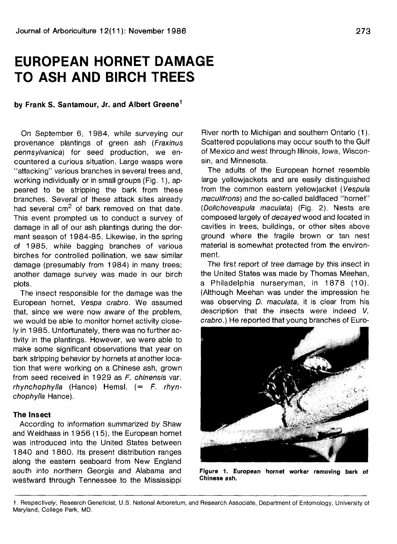# **EUROPEAN HORNET DAMAGE TO ASH AND BIRCH TREES**

# **by Frank S. Santamour, Jr. and Albert Greene<sup>1</sup>**

On September 6, 1 984, while surveying our provenance plantings of green ash (Fraxinus pennsylvanica) for seed production, we encountered a curious situation. Large wasps were "attacking" various branches in several trees and, working individually or in small groups (Fig. 1), appeared to be stripping the bark from these branches. Several of these attack sites already had several  $cm^2$  of bark removed on that date. This event prompted us to conduct a survey of damage in all of our ash plantings during the dormant season of 1984-85. Likewise, in the spring of 1985, while bagging branches of various birches for controlled pollination, we saw similar damage (presumably from 1984) in many trees; another damage survey was made in our birch plots.

The insect responsible for the damage was the European hornet, Vespa crabro. We assumed that, since we were now aware of the problem, we would be able to monitor hornet activity closely in 1985. Unfortunately, there was no further activity in the plantings. However, we were able to make some significant observations that year on bark stripping behavior by hornets at another location that were working on a Chinese ash, grown from seed received in 1929 as F. chinensis var. rhynchophylla (Hance) Hemsl.  $(= F. rhyn$ chophylla Hance).

## **The Insect**

According to information summarized by Shaw and Weidhaas in 1 956 (15), the European hornet was introduced into the United States between 1840 and 1860. Its present distribution ranges along the eastern seaboard from New England south into northern Georgia and Alabama and westward through Tennessee to the Mississippi River north to Michigan and southern Ontario (1). Scattered populations may occur south to the Gulf of Mexico and west through Illinois, Iowa, Wisconsin, and Minnesota.

The adults of the European hornet resemble large yellowjackets and are easily distinguished from the common eastern yellowjacket (Vespula maculifrons) and the so-called baldfaced "hornet" (Dolichovespula maculata) (Fig. 2). Nests are composed largely of decayed wood and located in cavities in trees, buildings, or other sites above ground where the fragile brown or tan nest material is somewhat protected from the environment.

The first report of tree damage by this insect in the United States was made by Thomas Meehan, a Philadelphia nurseryman, in 1878 (10). (Although Meehan was under the impression he was observing *D. maculata*, it is clear from his description that the insects were indeed V. crabro.) He reported that young branches of Euro-



**Figure 1. European hornet worker removing bark of Chinese ash.**

<sup>1.</sup> Respectively, Research Geneticist, U.S. National Arboretum, and Research Associate, Department of Entomology, University of Maryland, College Park, MD.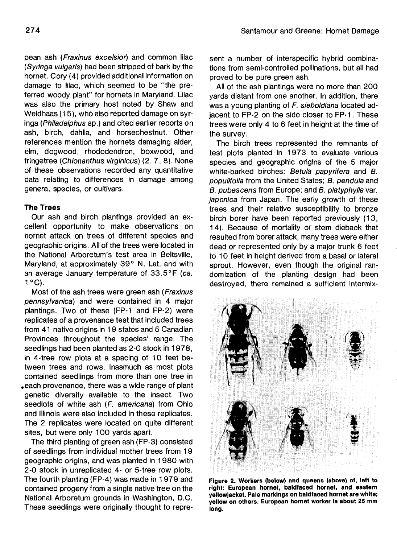pean ash (Fraxinus excelsior) and common lilac (Syringa vulgaris) had been stripped of bark by the hornet. Cory (4) provided additional information on damage to lilac, which seemed to be "the preferred woody plant" for hornets in Maryland. Lilac was also the primary host noted by Shaw and Weidhaas (15), who also reported damage on syringa (Philadelphus sp.) and cited earlier reports on ash, birch, dahlia, and horsechestnut. Other references mention the hornets damaging alder, elm, dogwood, rhododendron, boxwood, and fringetree (Chionanthus virginicus) (2,7,8). None of these observations recorded any quantitative data relating to differences in damage among genera, species, or cultivars.

## **The Trees**

Our ash and birch plantings provided an excellent opportunity to make observations on hornet attack on trees of different species and geographic origins. All of the trees were located in the National Arboretum's test area in Beltsville, Maryland, at approximately 39° N. Lat. and with an average January temperature of 33.5°F (ca. 1°C).

Most of the ash trees were green ash (Fraxinus pennsylvanica) and were contained in 4 maior plantings. Two of these (FP-1 and FP-2) were replicates of a provenance test that included trees from 41 native origins in 19 states and 5 Canadian Provinces throughout the species' range. The seedlings had been planted as 2-0 stock in 1978, in 4-tree row plots at a spacing of 10 feet between trees and rows. Inasmuch as most plots contained seedlings from more than one tree in .each provenance, there was a wide range of plant genetic diversity available to the insect. Two seedlots of white ash (F. americana) from Ohio and Illinois were also included in these replicates. The 2 replicates were located on quite different sites, but were only 100 yards apart.

The third planting of green ash (FP-3) consisted of seedlings from individual mother trees from 19 geographic origins, and was planted in 1980 with 2-0 stock in unreplicated 4- or 5-tree row plots. The fourth planting (FP-4) was made in 1 979 and contained progeny from a single native tree on the National Arboretum grounds in Washington, D.C. These seedlings were originally thought to represent a number of interspecific hybrid combinations from semi-controlled pollinations, but all had proved to be pure green ash.

All of the ash plantings were no more than 200 yards distant from one another. In addition, there was a young planting of F. sieboldiana located adjacent to FP-2 on the side closer to FP-1. These trees were only 4 to 6 feet in height at the time of the survey.

The birch trees represented the remnants of test plots planted in 1973 to evaluate various species and geographic origins of the 5 major white-barked birches: Betula papyrifera and B. populifolia from the United States; B. pendula and B. pubescens from Europe; and B. platyphylla var. japonica from Japan. The early growth of these trees and their relative susceptibility to bronze birch borer have been reported previously (13, 14). Because of mortality or stem dieback that resulted from borer attack, many trees were either dead or represented only by a major trunk 6 feet to 10 feet in height derived from a basal or lateral sprout. However, even though the original randomization of the planting design had been destroyed, there remained a sufficient intermix-



**Figure 2. Workers (below) and queens (above) of, left to right: European hornet, baldfaced hornet, and eastern yellowjacket. Pale markings on baldfaced hornet are white; yellow on others. European hornet worker Is about 25 mm long.**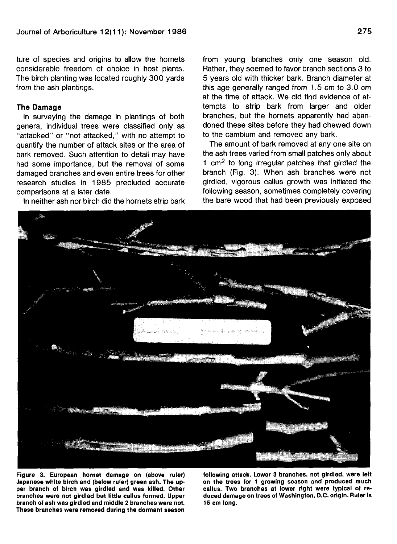ture of species and origins to allow the hornets considerable freedom of choice in host plants. The birch planting was located roughly 300 yards from the ash plantings.

#### **The Damage**

In surveying the damage in plantings of both genera, individual trees were classified only as "attacked" or "not attacked," with no attempt to quantify the number of attack sites or the area of bark removed. Such attention to detail may have had some importance, but the removal of some damaged branches and even entire trees for other research studies in 1985 precluded accurate comparisons at a later date.

In neither ash nor birch did the hornets strip bark

from young branches only one season old. Rather, they seemed to favor branch sections 3 to 5 years old with thicker bark. Branch diameter at this age generally ranged from 1.5 cm to 3.0 cm at the time of attack. We did find evidence of attempts to strip bark from larger and older branches, but the hornets apparently had abandoned these sites before they had chewed down to the cambium and removed any bark.

The amount of bark removed at any one site on the ash trees varied from small patches only about 1 cm<sup>2</sup> to long irregular patches that girdled the branch (Fig. 3). When ash branches were not girdled, vigorous callus growth was initiated the following season, sometimes completely covering the bare wood that had been previously exposed



**Figure 3. European hornet damage on (above ruler) Japanese white birch and (below ruler) green ash. The upper branch of birch was girdled and was killed. Other branches were not girdled but little callus formed. Upper branch of ash was girdled and middle 2 branches were not. These branches were removed during the dormant season**

**following attack. Lower 3 branches, not girdled, were left on the trees for 1 growing season and produced much callus. Two branches at lower right were typical of reduced damage on trees of Washington, D.C. origin. Ruler is 15 cm long.**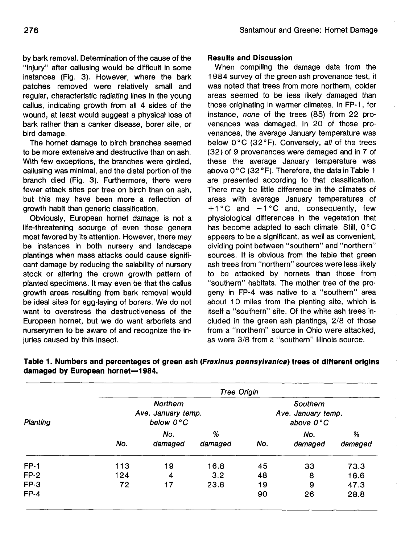by bark removal. Determination of the cause of the "injury" after callusing would be difficult in some instances (Fig. 3). However, where the bark patches removed were relatively small and regular, characteristic radiating lines in the young callus, indicating growth from all 4 sides of the wound, at least would suggest a physical loss of bark rather than a canker disease, borer site, or bird damage.

The hornet damage to birch branches seemed to be more extensive and destructive than on ash. With few exceptions, the branches were girdled, callusing was minimal, and the distal portion of the branch died (Fig. 3). Furthermore, there were fewer attack sites per tree on birch than on ash, but this may have been more a reflection of growth habit than generic classification.

Obviously, European hornet damage is not a life-threatening scourge of even those genera most favored by its attention. However, there may be instances in both nursery and landscape plantings when mass attacks could cause significant damage by reducing the salability of nursery stock or altering the crown growth pattern of planted specimens. It may even be that the callus growth areas resulting from bark removal would be ideal sites for egg-laying of borers. We do not want to overstress the destructiveness of the European hornet, but we do want arborists and nurserymen to be aware of and recognize the injuries caused by this insect.

# **Results and Discussion**

When compiling the damage data from the 1984 survey of the green ash provenance test, it was noted that trees from more northern, colder areas seemed to be less likely damaged than those originating in warmer climates. In FP-1, for instance, none of the trees (85) from 22 provenances was damaged. In 20 of those provenances, the average January temperature was below 0°C (32°F). Conversely, all of the trees (32) of 9 provenances were damaged and in 7 of these the average January temperature was above 0°C (32 °F). Therefore, the data in Table 1 are presented according to that classification. There may be little difference in the climates of areas with average January temperatures of  $+1$ °C and  $-1$ °C and, consequently, few physiological differences in the vegetation that has become adapted to each climate. Still, 0°C appears to be a significant, as well as convenient, dividing point between "southern" and "northern" sources. It is obvious from the table that green ash trees from "northern" sources were less likely to be attacked by hornets than those from "southern" habitats. The mother tree of the progeny in FP-4 was native to a "southern" area about 10 miles from the planting site, which is itself a "southern" site. Of the white ash trees included in the green ash plantings, 2/8 of those from a "northern" source in Ohio were attacked, as were 3/8 from a "southern" Illinois source.

| Planting    | <b>Tree Origin</b>                                 |                |              |                                                       |                |              |  |  |
|-------------|----------------------------------------------------|----------------|--------------|-------------------------------------------------------|----------------|--------------|--|--|
|             | <b>Northern</b><br>Ave. January temp.<br>below 0°C |                |              | Southern<br>Ave. January temp.<br>above $0^{\circ}$ C |                |              |  |  |
|             | No.                                                | No.<br>damaged | %<br>damaged | No.                                                   | No.<br>damaged | %<br>damaged |  |  |
| <b>FP-1</b> | 113                                                | 19             | 16.8         | 45                                                    | 33             | 73.3         |  |  |
| $FP-2$      | 124                                                | 4              | 3.2          | 48                                                    | 8              | 16.6         |  |  |
| FP-3        | 72                                                 | 17             | 23.6         | 19                                                    | 9              | 47.3         |  |  |
| $FP-4$      |                                                    |                |              | 90                                                    | 26             | 28.8         |  |  |

**Table 1. Numbers and percentages of green ash (Fraxinus pennsylvanica) trees of different origins damaged by European hornet—1984.**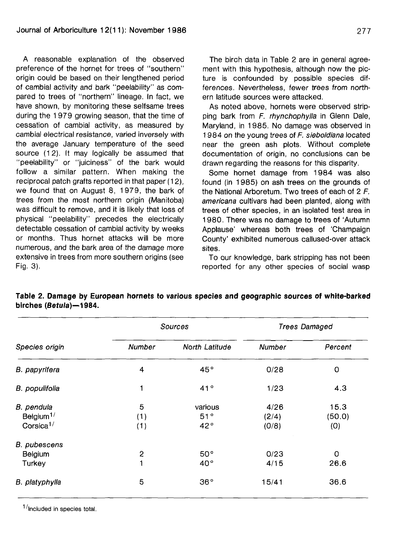A reasonable explanation of the observed preference of the hornet for trees of "southern" origin could be based on their lengthened period of cambial activity and bark "peelability" as compared to trees of "northern" lineage. In fact, we have shown, by monitoring these selfsame trees during the 1 979 growing season, that the time of cessation of cambial activity, as measured by cambial electrical resistance, varied inversely with the average January temperature of the seed source (12). It may logically be assumed that "peelability" or "juiciness" of the bark would follow a similar pattern. When making the reciprocal patch grafts reported in that paper (12), we found that on August 8, 1 979, the bark of trees from the most northern origin (Manitoba) was difficult to remove, and it is likely that loss of physical "peelability" precedes the electrically detectable cessation of cambial activity by weeks or months. Thus hornet attacks will be more numerous, and the bark area of the damage more extensive in trees from more southern origins (see Fig. 3).

The birch data in Table 2 are in general agreement with this hypothesis, although now the picture is confounded by possible species differences. Nevertheless, fewer trees from northern latitude sources were attacked.

As noted above, hornets were observed stripping bark from F. rhynchophylla in Glenn Dale, Maryland, in 1985. No damage was observed in 1984 on the young trees of F. sieboldiana located near the green ash plots. Without complete documentation of origin, no conclusions can be drawn regarding the reasons for this disparity.

Some hornet damage from 1984 was also found (in 1985) on ash trees on the grounds of the National Arboretum. Two trees of each of 2 F. americana cultivars had been planted, along with trees of other species, in an isolated test area in 1980. There was no damage to trees of 'Autumn Applause' whereas both trees of 'Champaign County' exhibited numerous callused-over attack sites.

To our knowledge, bark stripping has not been reported for any other species of social wasp

|                                    |              | Sources        | <b>Trees Damaged</b> |          |  |
|------------------------------------|--------------|----------------|----------------------|----------|--|
| Species origin                     | Number       | North Latitude | Number               | Percent  |  |
| B. papyrifera                      | 4            | 45°            | 0/28                 | $\circ$  |  |
| B. populifolia                     | 1            | 41°            | 1/23                 | 4.3      |  |
| B. pendula                         | 5            | various        | 4/26                 | 15.3     |  |
| Belgium <sup><math>1/</math></sup> | (1)          | 51°            | (2/4)                | (50.0)   |  |
| Corsica <sup>1/</sup>              | (1)          | 42°            | (0/8)                | (0)      |  |
| <b>B.</b> pubescens                |              |                |                      |          |  |
| Belgium                            | $\mathbf{2}$ | 50°            | 0/23                 | $\Omega$ |  |
| Turkey                             | 1            | $40^{\circ}$   | 4/15                 | 26.6     |  |
| B. platyphylla                     | 5            | 36°            | 15/41                | 36.6     |  |

**Table 2. Damage by European hornets to various species and geographic sources of white-barked birches (Betula)—1984.**

 $1$ /Included in species total.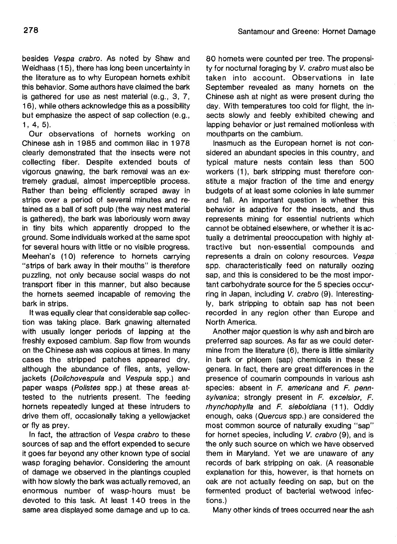besides Vespa crabro. As noted by Shaw and Weidhaas (15), there has long been uncertainty in the literature as to why European hornets exhibit this behavior. Some authors have claimed the bark is gathered for use as nest material (e.g., 3, 7, 16), while others acknowledge this as a possibility but emphasize the aspect of sap collection (e.g., 1,4,5).

Our observations of hornets working on Chinese ash in 1985 and common lilac in 1978 clearly demonstrated that the insects were not collecting fiber. Despite extended bouts of vigorous gnawing, the bark removal was an extremely gradual, almost imperceptible process. Rather than being efficiently scraped away in strips over a period of several minutes and retained as a ball of soft pulp (the way nest material is gathered), the bark was laboriously worn away in tiny bits which apparently dropped to the ground. Some individuals worked at the same spot for several hours with little or no visible progress. Meehan's (10) reference to hornets carrying "strips of bark away in their mouths" is therefore puzzling, not only because social wasps do not transport fiber in this manner, but also because the hornets seemed incapable of removing the bark in strips.

It was equally clear that considerable sap collection was taking place. Bark gnawing alternated with usually longer periods of lapping at the freshly exposed cambium. Sap flow from wounds on the Chinese ash was copious at times. In many cases the stripped patches appeared dry, although the abundance of files, ants, yellowjackets (Dolichovespula and Vespula spp.) and paper wasps (Polistes spp.) at these areas attested to the nutrients present. The feeding hornets repeatedly lunged at these intruders to drive them off, occasionally taking a yellowjacket or fly as prey.

In fact, the attraction of Vespa crabro to these sources of sap and the effort expended to secure it goes far beyond any other known type of social wasp foraging behavior. Considering the amount of damage we observed in the plantings coupled with how slowly the bark was actually removed, an enormous number of wasp-hours must be devoted to this task. At least 140 trees in the same area displayed some damage and up to ca.

80 hornets were counted per tree. The propensity for nocturnal foraging by V. crabro must also be taken into account. Observations in late September revealed as many hornets on the Chinese ash at night as were present during the day. With temperatures too cold for flight, the insects slowly and feebly exhibited chewing and lapping behavior or just remained motionless with mouthparts on the cambium.

Inasmuch as the European hornet is not considered an abundant species in this country, and typical mature nests contain less than 500 workers (1), bark stripping must therefore constitute a major fraction of the time and energy budgets of at least some colonies in late summer and fall. An important question is whether this behavior is adaptive for the insects, and thus represents mining for essential nutrients which cannot be obtained elsewhere, or whether it is actually a detrimental preoccupation with highly attractive but non-essential compounds and represents a drain on colony resources. Vespa spp. characteristically feed on naturally oozing sap, and this is considered to be the most important carbohydrate source for the 5 species occurring in Japan, including V. crabro (9). Interestingly, bark stripping to obtain sap has not been recorded in any region other than Europe and North America.

Another major question is why ash and birch are preferred sap sources. As far as we could determine from the literature (6), there is little similarity in bark or phloem (sap) chemicals in these 2 genera. In fact, there are great differences in the presence of coumarin compounds in various ash species: absent in  $F$ . americana and  $F$ . pennsylvanica; strongly present in F. excelsior, F. rhynchophylla and F. sieboldiana (11). Oddly enough, oaks (Quercus spp.) are considered the most common source of naturally exuding "sap" for hornet species, including V. crabro (9), and is the only such source on which we have observed them in Maryland. Yet we are unaware of any records of bark stripping on oak. (A reasonable explanation for this, however, is that hornets on oak are not actually feeding on sap, but on the fermented product of bacterial wetwood infections.)

Many other kinds of trees occurred near the ash